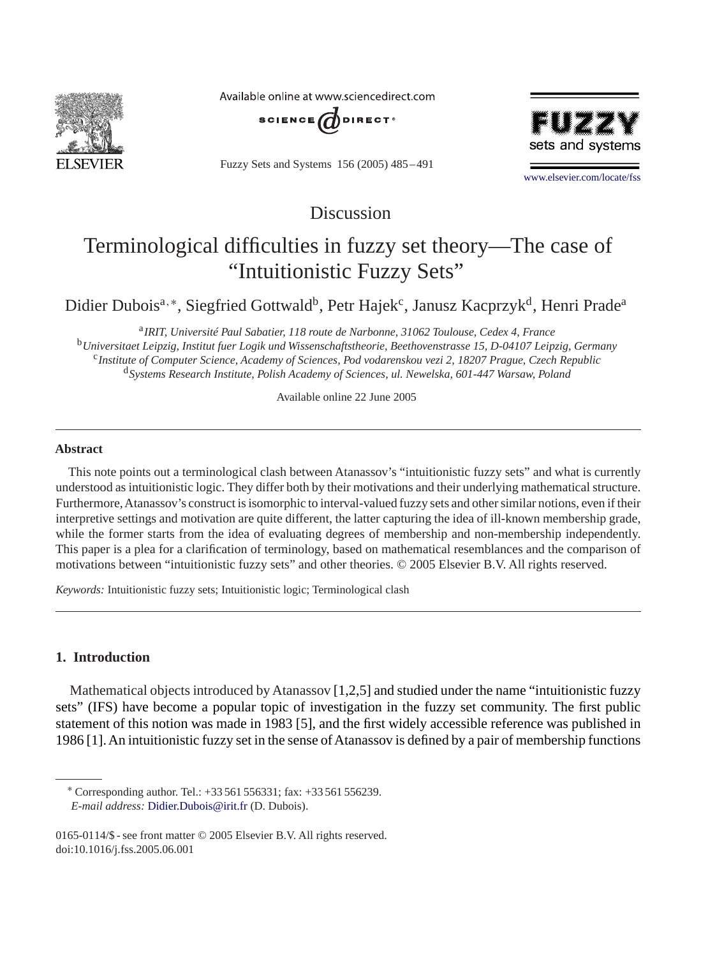

Available online at www.sciencedirect.com



Fuzzy Sets and Systems 156 (2005) 485 – 491



[www.elsevier.com/locate/fss](http://www.elsevier.com/locate/fss)

Discussion

# Terminological difficulties in fuzzy set theory—The case of "Intuitionistic Fuzzy Sets"

Didier Dubois<sup>a,∗</sup>, Siegfried Gottwald<sup>b</sup>, Petr Hajek<sup>c</sup>, Janusz Kacprzyk<sup>d</sup>, Henri Prade<sup>a</sup>

<sup>a</sup>*IRIT, Université Paul Sabatier, 118 route de Narbonne, 31062 Toulouse, Cedex 4, France* <sup>b</sup>Universitaet Leipzig, Institut fuer Logik und Wissenschaftstheorie, Beethovenstrasse 15, D-04107 Leipzig, Germany<br><sup>C</sup>Institute of Computer Science, Academy of Sciences, Pod vodarenskou vezi 2, 18207 Prague, Czech Republ <sup>d</sup>*Systems Research Institute, Polish Academy of Sciences, ul. Newelska, 601-447 Warsaw, Poland*

Available online 22 June 2005

#### **Abstract**

This note points out a terminological clash between Atanassov's "intuitionistic fuzzy sets" and what is currently understood as intuitionistic logic. They differ both by their motivations and their underlying mathematical structure. Furthermore,Atanassov's construct is isomorphic to interval-valued fuzzy sets and other similar notions, even if their interpretive settings and motivation are quite different, the latter capturing the idea of ill-known membership grade, while the former starts from the idea of evaluating degrees of membership and non-membership independently. This paper is a plea for a clarification of terminology, based on mathematical resemblances and the comparison of motivations between "intuitionistic fuzzy sets" and other theories. © 2005 Elsevier B.V. All rights reserved.

*Keywords:* Intuitionistic fuzzy sets; Intuitionistic logic; Terminological clash

## **1. Introduction**

Mathematical objects introduced by Atanassov [\[1,2,5\]](#page-5-0) and studied under the name "intuitionistic fuzzy sets" (IFS) have become a popular topic of investigation in the fuzzy set community. The first public statement of this notion was made in 1983 [\[5\],](#page-5-0) and the first widely accessible reference was published in 1986 [\[1\].](#page-5-0) An intuitionistic fuzzy set in the sense of Atanassov is defined by a pair of membership functions

∗ Corresponding author. Tel.: +33 561 556331; fax: +33 561 556239.

*E-mail address:* [Didier.Dubois@irit.fr](mailto:Didier.Dubois@irit.fr) (D. Dubois).

<sup>0165-0114/\$ -</sup> see front matter © 2005 Elsevier B.V. All rights reserved. doi:10.1016/j.fss.2005.06.001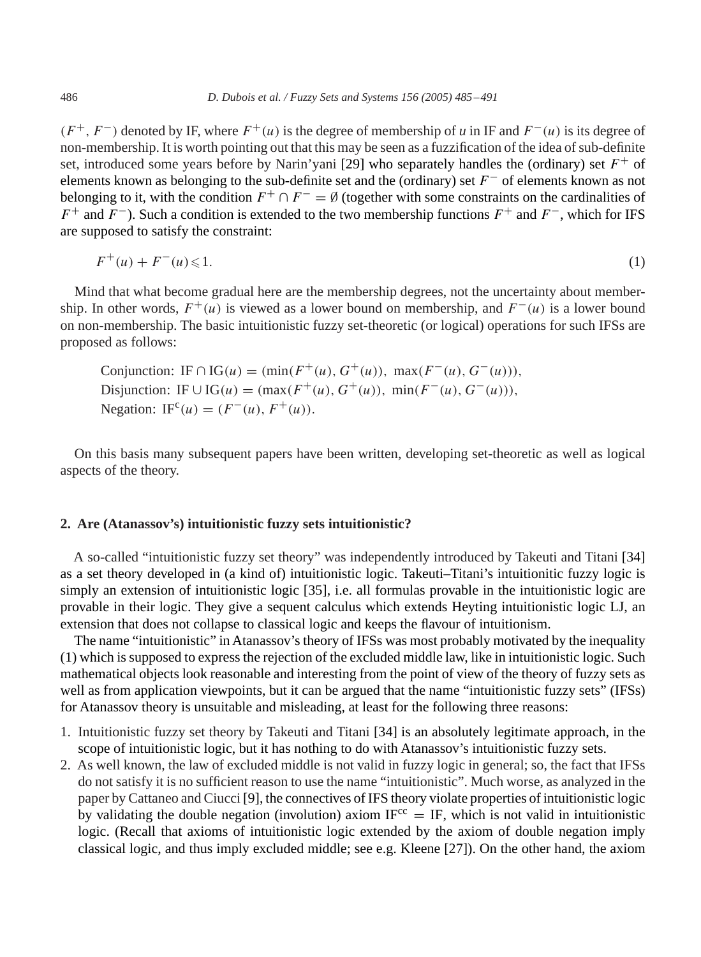$(F^+, F^-)$  denoted by IF, where  $F^+(u)$  is the degree of membership of *u* in IF and  $F^-(u)$  is its degree of non-membership. It is worth pointing out that this may be seen as a fuzzification of the idea of sub-definite set, introduced some years before by Narin'yani [\[29\]](#page-6-0) who separately handles the (ordinary) set  $F^+$  of elements known as belonging to the sub-definite set and the (ordinary) set  $F^-$  of elements known as not belonging to it, with the condition  $F^+ \cap F^- = \emptyset$  (together with some constraints on the cardinalities of  $F^+$  and  $F^-$ ). Such a condition is extended to the two membership functions  $F^+$  and  $F^-$ , which for IFS are supposed to satisfy the constraint:

$$
F^{+}(u) + F^{-}(u) \leq 1.
$$
 (1)

Mind that what become gradual here are the membership degrees, not the uncertainty about membership. In other words,  $F^+(u)$  is viewed as a lower bound on membership, and  $F^-(u)$  is a lower bound on non-membership. The basic intuitionistic fuzzy set-theoretic (or logical) operations for such IFSs are proposed as follows:

Conjunction: IF  $\cap$  IG(u) = (min( $F^+(u)$ ,  $G^+(u)$ ), max( $F^-(u)$ ,  $G^-(u)$ )), Disjunction: IF  $\cup$  IG(u) = (max(F<sup>+</sup>(u), G<sup>+</sup>(u)), min(F<sup>-</sup>(u), G<sup>-</sup>(u))), Negation:  $IF<sup>c</sup>(u) = (F<sup>-</sup>(u), F<sup>+</sup>(u)).$ 

On this basis many subsequent papers have been written, developing set-theoretic as well as logical aspects of the theory.

## **2. Are (Atanassov's) intuitionistic fuzzy sets intuitionistic?**

A so-called "intuitionistic fuzzy set theory" was independently introduced by Takeuti and Titani [\[34\]](#page-6-0) as a set theory developed in (a kind of) intuitionistic logic. Takeuti–Titani's intuitionitic fuzzy logic is simply an extension of intuitionistic logic [\[35\],](#page-6-0) i.e. all formulas provable in the intuitionistic logic are provable in their logic. They give a sequent calculus which extends Heyting intuitionistic logic LJ, an extension that does not collapse to classical logic and keeps the flavour of intuitionism.

The name "intuitionistic" in Atanassov's theory of IFSs was most probably motivated by the inequality (1) which is supposed to express the rejection of the excluded middle law, like in intuitionistic logic. Such mathematical objects look reasonable and interesting from the point of view of the theory of fuzzy sets as well as from application viewpoints, but it can be argued that the name "intuitionistic fuzzy sets" (IFSs) for Atanassov theory is unsuitable and misleading, at least for the following three reasons:

- 1. Intuitionistic fuzzy set theory by Takeuti and Titani [\[34\]](#page-6-0) is an absolutely legitimate approach, in the scope of intuitionistic logic, but it has nothing to do with Atanassov's intuitionistic fuzzy sets.
- 2. As well known, the law of excluded middle is not valid in fuzzy logic in general; so, the fact that IFSs do not satisfy it is no sufficient reason to use the name "intuitionistic". Much worse, as analyzed in the paper by Cattaneo and Ciucci [\[9\],](#page-5-0) the connectives of IFS theory violate properties of intuitionistic logic by validating the double negation (involution) axiom  $IF^{cc} = IF$ , which is not valid in intuitionistic logic. (Recall that axioms of intuitionistic logic extended by the axiom of double negation imply classical logic, and thus imply excluded middle; see e.g. Kleene [\[27\]\)](#page-6-0). On the other hand, the axiom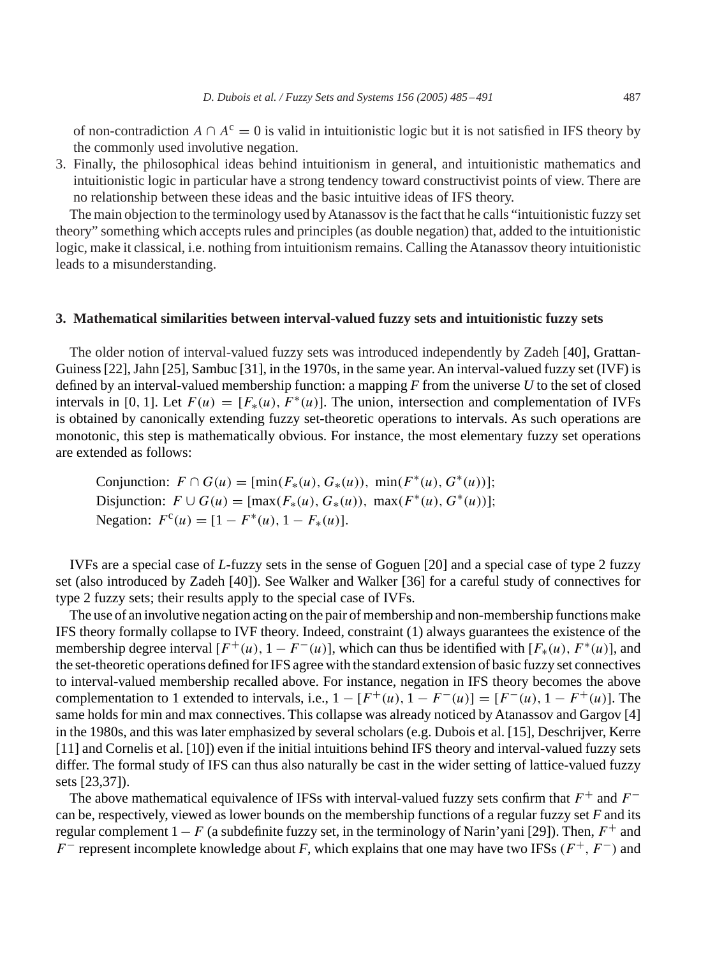of non-contradiction  $A \cap A^c = 0$  is valid in intuitionistic logic but it is not satisfied in IFS theory by the commonly used involutive negation.

3. Finally, the philosophical ideas behind intuitionism in general, and intuitionistic mathematics and intuitionistic logic in particular have a strong tendency toward constructivist points of view. There are no relationship between these ideas and the basic intuitive ideas of IFS theory.

The main objection to the terminology used byAtanassov is the fact that he calls "intuitionistic fuzzy set theory" something which accepts rules and principles (as double negation) that, added to the intuitionistic logic, make it classical, i.e. nothing from intuitionism remains. Calling the Atanassov theory intuitionistic leads to a misunderstanding.

#### **3. Mathematical similarities between interval-valued fuzzy sets and intuitionistic fuzzy sets**

The older notion of interval-valued fuzzy sets was introduced independently by Zadeh [\[40\],](#page-6-0) Grattan-Guiness [\[22\],](#page-5-0) Jahn [\[25\],](#page-5-0) Sambuc [\[31\],](#page-6-0) in the 1970s, in the same year. An interval-valued fuzzy set (IVF) is defined by an interval-valued membership function: a mapping *F* from the universe *U* to the set of closed intervals in [0, 1]. Let  $F(u) = [F_*(u), F^*(u)]$ . The union, intersection and complementation of IVFs is obtained by canonically extending fuzzy set-theoretic operations to intervals. As such operations are monotonic, this step is mathematically obvious. For instance, the most elementary fuzzy set operations are extended as follows:

Conjunction:  $F \cap G(u) = [\min(F_*(u), G_*(u)), \min(F^*(u), G^*(u))];$ Disjunction:  $F \cup G(u) = [\max(F_*(u), G_*(u)), \max(F^*(u), G^*(u))];$ Negation:  $F^{c}(u) = [1 - F^{*}(u), 1 - F_{*}(u)].$ 

IVFs are a special case of *L*-fuzzy sets in the sense of Goguen [\[20\]](#page-5-0) and a special case of type 2 fuzzy set (also introduced by Zadeh [\[40\]\)](#page-6-0). See Walker and Walker [\[36\]](#page-6-0) for a careful study of connectives for type 2 fuzzy sets; their results apply to the special case of IVFs.

The use of an involutive negation acting on the pair of membership and non-membership functions make IFS theory formally collapse to IVF theory. Indeed, constraint (1) always guarantees the existence of the membership degree interval  $[F^+(u), 1 - F^-(u)]$ , which can thus be identified with  $[F_*(u), F^*(u)]$ , and the set-theoretic operations defined for IFS agree with the standard extension of basic fuzzy set connectives to interval-valued membership recalled above. For instance, negation in IFS theory becomes the above complementation to 1 extended to intervals, i.e.,  $1 - [F^+(u), 1 - F^-(u)] = [F^-(u), 1 - F^+(u)]$ . The same holds for min and max connectives. This collapse was already noticed by Atanassov and Gargov [\[4\]](#page-5-0) in the 1980s, and this was later emphasized by several scholars (e.g. Dubois et al. [\[15\],](#page-5-0) Deschrijver, Kerre [\[11\]](#page-5-0) and Cornelis et al. [\[10\]\)](#page-5-0) even if the initial intuitions behind IFS theory and interval-valued fuzzy sets differ. The formal study of IFS can thus also naturally be cast in the wider setting of lattice-valued fuzzy sets [\[23](#page-5-0)[,37\]\)](#page-6-0).

The above mathematical equivalence of IFSs with interval-valued fuzzy sets confirm that  $F^+$  and  $F^$ can be, respectively, viewed as lower bounds on the membership functions of a regular fuzzy set *F* and its regular complement  $1-F$  (a subdefinite fuzzy set, in the terminology of Narin'yani [\[29\]\)](#page-6-0). Then,  $F^+$  and  $F^-$  represent incomplete knowledge about *F*, which explains that one may have two IFSs ( $F^+$ ,  $F^-$ ) and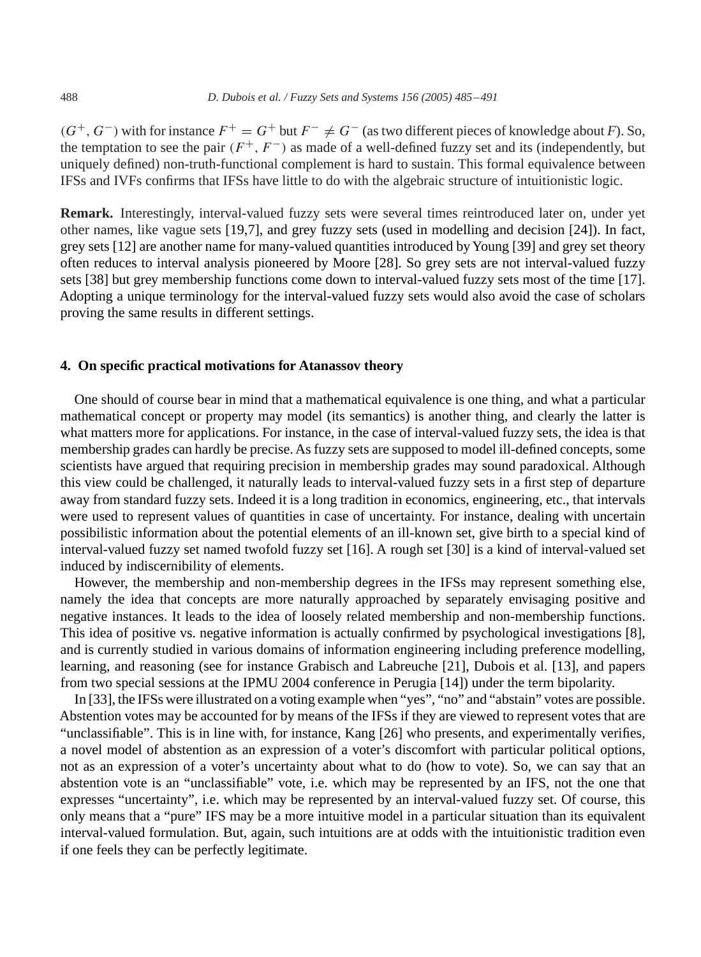$(G^+, G^-)$  with for instance  $F^+ = G^+$  but  $F^- \neq G^-$  (as two different pieces of knowledge about *F*). So, the temptation to see the pair  $(F^+, F^-)$  as made of a well-defined fuzzy set and its (independently, but uniquely defined) non-truth-functional complement is hard to sustain. This formal equivalence between IFSs and IVFs confirms that IFSs have little to do with the algebraic structure of intuitionistic logic.

**Remark.** Interestingly, interval-valued fuzzy sets were several times reintroduced later on, under yet other names, like vague sets [\[19,7\],](#page-5-0) and grey fuzzy sets (used in modelling and decision [\[24\]\)](#page-5-0). In fact, grey sets [\[12\]](#page-5-0) are another name for many-valued quantities introduced by Young [\[39\]](#page-6-0) and grey set theory often reduces to interval analysis pioneered by Moore [\[28\].](#page-6-0) So grey sets are not interval-valued fuzzy sets [\[38\]](#page-6-0) but grey membership functions come down to interval-valued fuzzy sets most of the time [\[17\].](#page-5-0) Adopting a unique terminology for the interval-valued fuzzy sets would also avoid the case of scholars proving the same results in different settings.

### **4. On specific practical motivations for Atanassov theory**

One should of course bear in mind that a mathematical equivalence is one thing, and what a particular mathematical concept or property may model (its semantics) is another thing, and clearly the latter is what matters more for applications. For instance, in the case of interval-valued fuzzy sets, the idea is that membership grades can hardly be precise. As fuzzy sets are supposed to model ill-defined concepts, some scientists have argued that requiring precision in membership grades may sound paradoxical. Although this view could be challenged, it naturally leads to interval-valued fuzzy sets in a first step of departure away from standard fuzzy sets. Indeed it is a long tradition in economics, engineering, etc., that intervals were used to represent values of quantities in case of uncertainty. For instance, dealing with uncertain possibilistic information about the potential elements of an ill-known set, give birth to a special kind of interval-valued fuzzy set named twofold fuzzy set [\[16\].](#page-5-0) A rough set [\[30\]](#page-6-0) is a kind of interval-valued set induced by indiscernibility of elements.

However, the membership and non-membership degrees in the IFSs may represent something else, namely the idea that concepts are more naturally approached by separately envisaging positive and negative instances. It leads to the idea of loosely related membership and non-membership functions. This idea of positive vs. negative information is actually confirmed by psychological investigations [\[8\],](#page-5-0) and is currently studied in various domains of information engineering including preference modelling, learning, and reasoning (see for instance Grabisch and Labreuche [\[21\],](#page-5-0) Dubois et al. [\[13\],](#page-5-0) and papers from two special sessions at the IPMU 2004 conference in Perugia [\[14\]\)](#page-5-0) under the term bipolarity.

In [\[33\],](#page-6-0) the IFSs were illustrated on a voting example when "yes", "no" and "abstain" votes are possible. Abstention votes may be accounted for by means of the IFSs if they are viewed to represent votes that are "unclassifiable". This is in line with, for instance, Kang [\[26\]](#page-5-0) who presents, and experimentally verifies, a novel model of abstention as an expression of a voter's discomfort with particular political options, not as an expression of a voter's uncertainty about what to do (how to vote). So, we can say that an abstention vote is an "unclassifiable" vote, i.e. which may be represented by an IFS, not the one that expresses "uncertainty", i.e. which may be represented by an interval-valued fuzzy set. Of course, this only means that a "pure" IFS may be a more intuitive model in a particular situation than its equivalent interval-valued formulation. But, again, such intuitions are at odds with the intuitionistic tradition even if one feels they can be perfectly legitimate.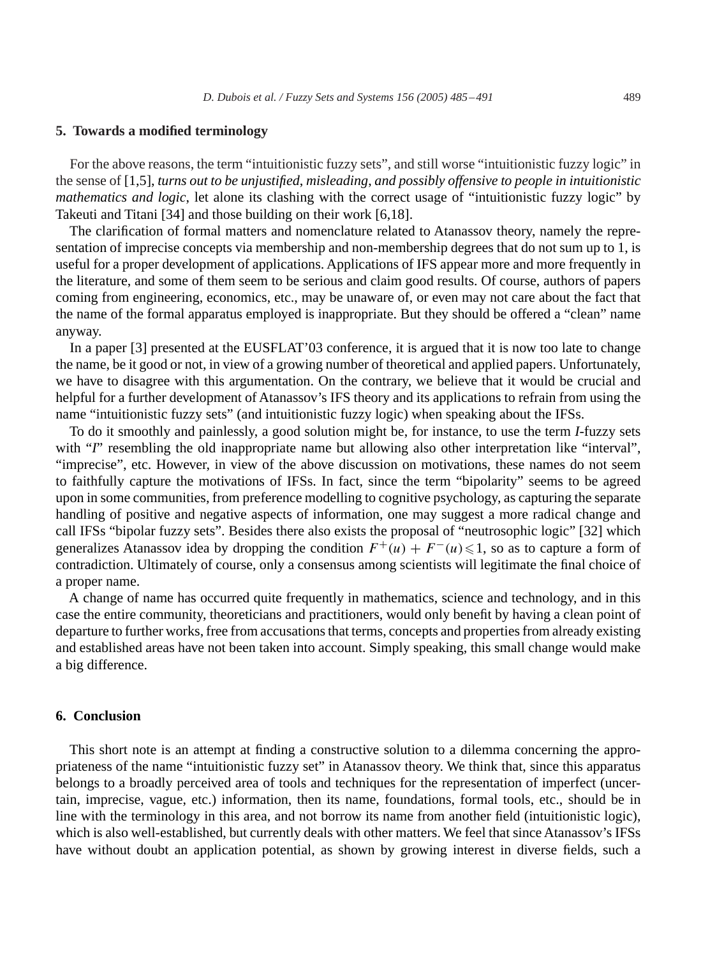#### **5. Towards a modified terminology**

For the above reasons, the term "intuitionistic fuzzy sets", and still worse "intuitionistic fuzzy logic" in the sense of [\[1,5\],](#page-5-0) *turns out to be unjustified*, *misleading*, *and possibly offensive to people in intuitionistic mathematics and logic*, let alone its clashing with the correct usage of "intuitionistic fuzzy logic" by Takeuti and Titani [\[34\]](#page-6-0) and those building on their work [\[6,18\].](#page-5-0)

The clarification of formal matters and nomenclature related to Atanassov theory, namely the representation of imprecise concepts via membership and non-membership degrees that do not sum up to 1, is useful for a proper development of applications. Applications of IFS appear more and more frequently in the literature, and some of them seem to be serious and claim good results. Of course, authors of papers coming from engineering, economics, etc., may be unaware of, or even may not care about the fact that the name of the formal apparatus employed is inappropriate. But they should be offered a "clean" name anyway.

In a paper [\[3\]](#page-5-0) presented at the EUSFLAT'03 conference, it is argued that it is now too late to change the name, be it good or not, in view of a growing number of theoretical and applied papers. Unfortunately, we have to disagree with this argumentation. On the contrary, we believe that it would be crucial and helpful for a further development of Atanassov's IFS theory and its applications to refrain from using the name "intuitionistic fuzzy sets" (and intuitionistic fuzzy logic) when speaking about the IFSs.

To do it smoothly and painlessly, a good solution might be, for instance, to use the term *I*-fuzzy sets with "*I*" resembling the old inappropriate name but allowing also other interpretation like "interval", "imprecise", etc. However, in view of the above discussion on motivations, these names do not seem to faithfully capture the motivations of IFSs. In fact, since the term "bipolarity" seems to be agreed upon in some communities, from preference modelling to cognitive psychology, as capturing the separate handling of positive and negative aspects of information, one may suggest a more radical change and call IFSs "bipolar fuzzy sets". Besides there also exists the proposal of "neutrosophic logic" [\[32\]](#page-6-0) which generalizes Atanassov idea by dropping the condition  $F^+(u) + F^-(u) \leq 1$ , so as to capture a form of contradiction. Ultimately of course, only a consensus among scientists will legitimate the final choice of a proper name.

A change of name has occurred quite frequently in mathematics, science and technology, and in this case the entire community, theoreticians and practitioners, would only benefit by having a clean point of departure to further works, free from accusations that terms, concepts and properties from already existing and established areas have not been taken into account. Simply speaking, this small change would make a big difference.

#### **6. Conclusion**

This short note is an attempt at finding a constructive solution to a dilemma concerning the appropriateness of the name "intuitionistic fuzzy set" in Atanassov theory. We think that, since this apparatus belongs to a broadly perceived area of tools and techniques for the representation of imperfect (uncertain, imprecise, vague, etc.) information, then its name, foundations, formal tools, etc., should be in line with the terminology in this area, and not borrow its name from another field (intuitionistic logic), which is also well-established, but currently deals with other matters. We feel that since Atanassov's IFSs have without doubt an application potential, as shown by growing interest in diverse fields, such a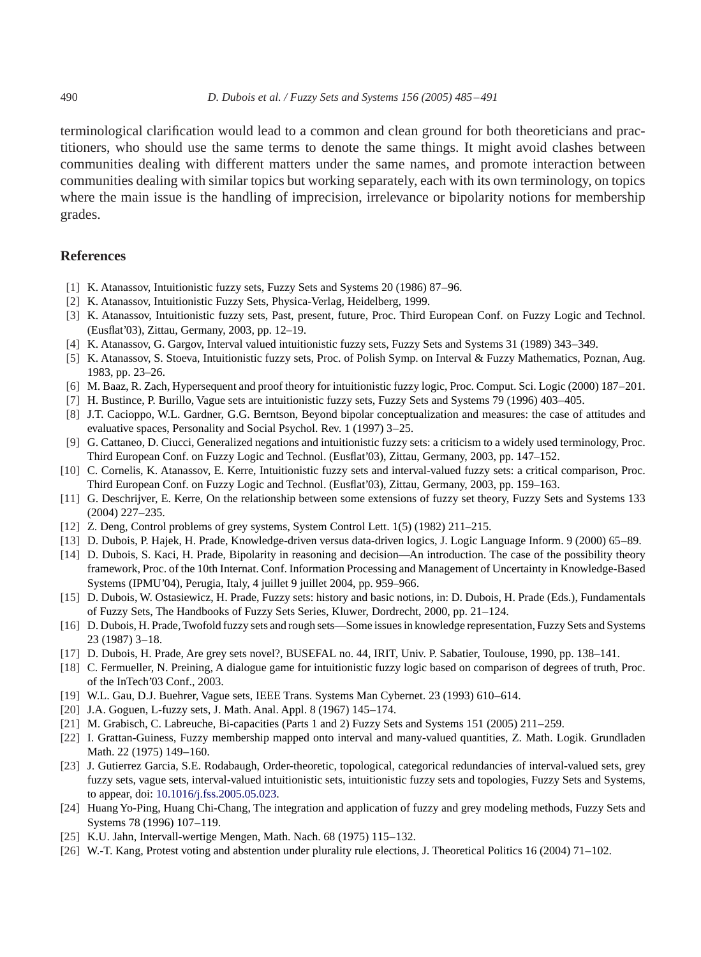terminological clarification would lead to a common and clean ground for both theoreticians and practitioners, who should use the same terms to denote the same things. It might avoid clashes between communities dealing with different matters under the same names, and promote interaction between communities dealing with similar topics but working separately, each with its own terminology, on topics where the main issue is the handling of imprecision, irrelevance or bipolarity notions for membership grades.

### **References**

- [1] K. Atanassov, Intuitionistic fuzzy sets, Fuzzy Sets and Systems 20 (1986) 87–96.
- [2] K. Atanassov, Intuitionistic Fuzzy Sets, Physica-Verlag, Heidelberg, 1999.
- [3] K. Atanassov, Intuitionistic fuzzy sets, Past, present, future, Proc. Third European Conf. on Fuzzy Logic and Technol. (Eusflat'03), Zittau, Germany, 2003, pp. 12–19.
- [4] K. Atanassov, G. Gargov, Interval valued intuitionistic fuzzy sets, Fuzzy Sets and Systems 31 (1989) 343–349.
- [5] K. Atanassov, S. Stoeva, Intuitionistic fuzzy sets, Proc. of Polish Symp. on Interval & Fuzzy Mathematics, Poznan, Aug. 1983, pp. 23–26.
- [6] M. Baaz, R. Zach, Hypersequent and proof theory for intuitionistic fuzzy logic, Proc. Comput. Sci. Logic (2000) 187–201.
- [7] H. Bustince, P. Burillo, Vague sets are intuitionistic fuzzy sets, Fuzzy Sets and Systems 79 (1996) 403–405.
- [8] J.T. Cacioppo, W.L. Gardner, G.G. Berntson, Beyond bipolar conceptualization and measures: the case of attitudes and evaluative spaces, Personality and Social Psychol. Rev. 1 (1997) 3–25.
- [9] G. Cattaneo, D. Ciucci, Generalized negations and intuitionistic fuzzy sets: a criticism to a widely used terminology, Proc. Third European Conf. on Fuzzy Logic and Technol. (Eusflat'03), Zittau, Germany, 2003, pp. 147–152.
- [10] C. Cornelis, K. Atanassov, E. Kerre, Intuitionistic fuzzy sets and interval-valued fuzzy sets: a critical comparison, Proc. Third European Conf. on Fuzzy Logic and Technol. (Eusflat'03), Zittau, Germany, 2003, pp. 159–163.
- [11] G. Deschrijver, E. Kerre, On the relationship between some extensions of fuzzy set theory, Fuzzy Sets and Systems 133 (2004) 227–235.
- [12] Z. Deng, Control problems of grey systems, System Control Lett. 1(5) (1982) 211–215.
- [13] D. Dubois, P. Hajek, H. Prade, Knowledge-driven versus data-driven logics, J. Logic Language Inform. 9 (2000) 65–89.
- [14] D. Dubois, S. Kaci, H. Prade, Bipolarity in reasoning and decision—An introduction. The case of the possibility theory framework, Proc. of the 10th Internat. Conf. Information Processing and Management of Uncertainty in Knowledge-Based Systems (IPMU'04), Perugia, Italy, 4 juillet 9 juillet 2004, pp. 959–966.
- [15] D. Dubois, W. Ostasiewicz, H. Prade, Fuzzy sets: history and basic notions, in: D. Dubois, H. Prade (Eds.), Fundamentals of Fuzzy Sets, The Handbooks of Fuzzy Sets Series, Kluwer, Dordrecht, 2000, pp. 21–124.
- [16] D. Dubois, H. Prade, Twofold fuzzy sets and rough sets—Some issues in knowledge representation, Fuzzy Sets and Systems 23 (1987) 3–18.
- [17] D. Dubois, H. Prade, Are grey sets novel?, BUSEFAL no. 44, IRIT, Univ. P. Sabatier, Toulouse, 1990, pp. 138–141.
- [18] C. Fermueller, N. Preining, A dialogue game for intuitionistic fuzzy logic based on comparison of degrees of truth, Proc. of the InTech'03 Conf., 2003.
- [19] W.L. Gau, D.J. Buehrer, Vague sets, IEEE Trans. Systems Man Cybernet. 23 (1993) 610–614.
- [20] J.A. Goguen, L-fuzzy sets, J. Math. Anal. Appl. 8 (1967) 145–174.
- [21] M. Grabisch, C. Labreuche, Bi-capacities (Parts 1 and 2) Fuzzy Sets and Systems 151 (2005) 211–259.
- [22] I. Grattan-Guiness, Fuzzy membership mapped onto interval and many-valued quantities, Z. Math. Logik. Grundladen Math. 22 (1975) 149–160.
- [23] J. Gutierrez Garcia, S.E. Rodabaugh, Order-theoretic, topological, categorical redundancies of interval-valued sets, grey fuzzy sets, vague sets, interval-valued intuitionistic sets, intuitionistic fuzzy sets and topologies, Fuzzy Sets and Systems, to appear, doi: [10.1016/j.fss.2005.05.023.](http://dx.doi.org/10.1016/j.fss.2005.05.023)
- [24] Huang Yo-Ping, Huang Chi-Chang, The integration and application of fuzzy and grey modeling methods, Fuzzy Sets and Systems 78 (1996) 107–119.
- [25] K.U. Jahn, Intervall-wertige Mengen, Math. Nach. 68 (1975) 115–132.
- [26] W.-T. Kang, Protest voting and abstention under plurality rule elections, J. Theoretical Politics 16 (2004) 71–102.

<span id="page-5-0"></span>